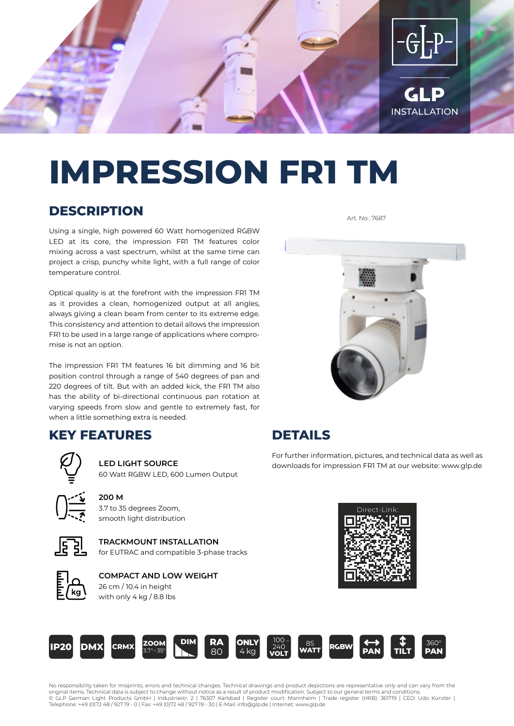

# **IMPRESSION FR1 TM**

# **DESCRIPTION**

Using a single, high powered 60 Watt homogenized RGBW LED at its core, the impression FR1 TM features color mixing across a vast spectrum, whilst at the same time can project a crisp, punchy white light, with a full range of color temperature control.

Optical quality is at the forefront with the impression FR1 TM as it provides a clean, homogenized output at all angles, always giving a clean beam from center to its extreme edge. This consistency and attention to detail allows the impression FR1 to be used in a large range of applications where compromise is not an option.

The impression FR1 TM features 16 bit dimming and 16 bit position control through a range of 540 degrees of pan and 220 degrees of tilt. But with an added kick, the FR1 TM also has the ability of bi-directional continuous pan rotation at varying speeds from slow and gentle to extremely fast, for when a little something extra is needed.

#### **KEY FEATURES**



#### 60 Watt RGBW LED, 600 Lumen Output

**LED LIGHT SOURCE**

**200 M** 3.7 to 35 degrees Zoom, smooth light distribution

#### **TRACKMOUNT INSTALLATION** for EUTRAC and compatible 3-phase tracks



#### **COMPACT AND LOW WEIGHT** 26 cm / 10.4 in height

with only 4 kg / 8.8 lbs



Art. No.: 7687

# **DETAILS**

For further information, pictures, and technical data as well as downloads for impression FR1 TM at our website: www.glp.de





No responsibility taken for misprints, errors and technical changes. Technical drawings and product depictions are representative only and can vary from the<br>original items. Technical data is subject to change without notic